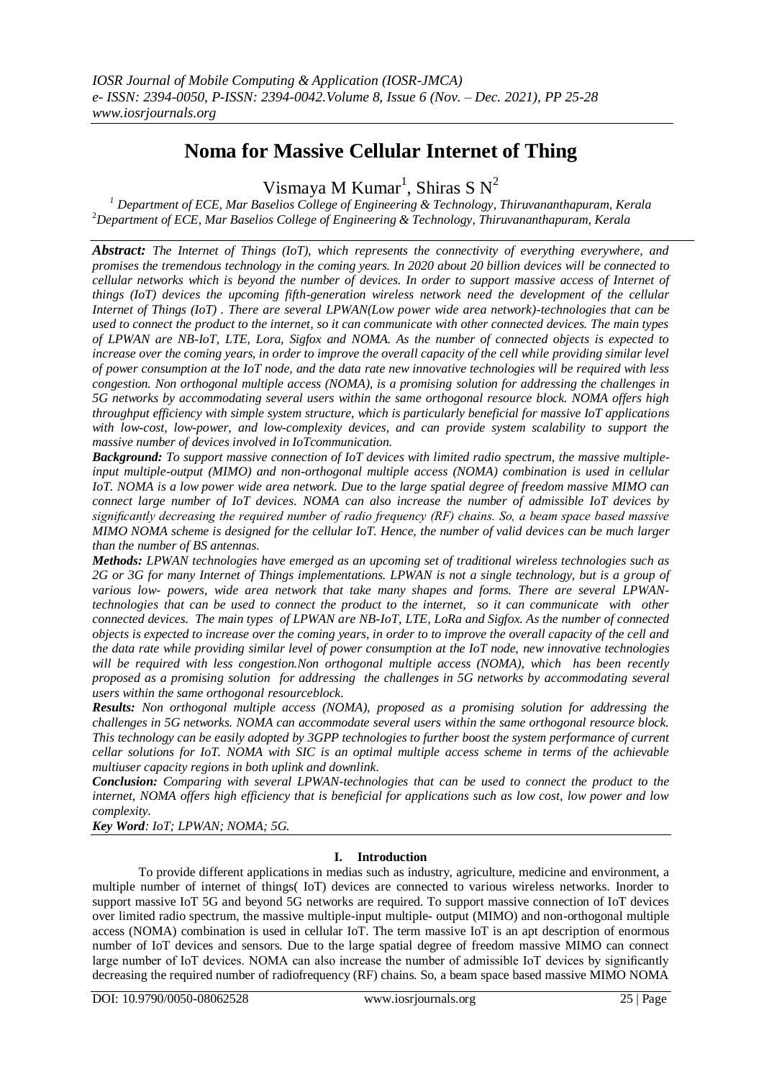# **Noma for Massive Cellular Internet of Thing**

Vismaya M Kumar<sup>1</sup>, Shiras S N<sup>2</sup>

*<sup>1</sup> Department of ECE, Mar Baselios College of Engineering & Technology, Thiruvananthapuram, Kerala* <sup>2</sup>*Department of ECE, Mar Baselios College of Engineering & Technology, Thiruvananthapuram, Kerala* 

*Abstract: The Internet of Things (IoT), which represents the connectivity of everything everywhere, and promises the tremendous technology in the coming years. In 2020 about 20 billion devices will be connected to cellular networks which is beyond the number of devices. In order to support massive access of Internet of things (IoT) devices the upcoming fifth-generation wireless network need the development of the cellular Internet of Things (IoT) . There are several LPWAN(Low power wide area network)-technologies that can be used to connect the product to the internet, so it can communicate with other connected devices. The main types of LPWAN are NB-IoT, LTE, Lora, Sigfox and NOMA. As the number of connected objects is expected to increase over the coming years, in order to improve the overall capacity of the cell while providing similar level of power consumption at the IoT node, and the data rate new innovative technologies will be required with less congestion. Non orthogonal multiple access (NOMA), is a promising solution for addressing the challenges in 5G networks by accommodating several users within the same orthogonal resource block. NOMA offers high throughput efficiency with simple system structure, which is particularly beneficial for massive IoT applications with low-cost, low-power, and low-complexity devices, and can provide system scalability to support the massive number of devices involved in IoTcommunication.*

*Background: To support massive connection of IoT devices with limited radio spectrum, the massive multipleinput multiple-output (MIMO) and non-orthogonal multiple access (NOMA) combination is used in cellular IoT. NOMA is a low power wide area network. Due to the large spatial degree of freedom massive MIMO can connect large number of IoT devices. NOMA can also increase the number of admissible IoT devices by significantly decreasing the required number of radio frequency (RF) chains. So, a beam space based massive MIMO NOMA scheme is designed for the cellular IoT. Hence, the number of valid devices can be much larger than the number of BS antennas.*

*Methods: LPWAN technologies have emerged as an upcoming set of traditional wireless technologies such as 2G or 3G for many Internet of Things implementations. LPWAN is not a single technology, but is a group of various low- powers, wide area network that take many shapes and forms. There are several LPWANtechnologies that can be used to connect the product to the internet, so it can communicate with other connected devices. The main types of LPWAN are NB-IoT, LTE, LoRa and Sigfox. As the number of connected objects is expected to increase over the coming years, in order to to improve the overall capacity of the cell and the data rate while providing similar level of power consumption at the IoT node, new innovative technologies will be required with less congestion.Non orthogonal multiple access (NOMA), which has been recently proposed as a promising solution for addressing the challenges in 5G networks by accommodating several users within the same orthogonal resourceblock.*

*Results: Non orthogonal multiple access (NOMA), proposed as a promising solution for addressing the challenges in 5G networks. NOMA can accommodate several users within the same orthogonal resource block. This technology can be easily adopted by 3GPP technologies to further boost the system performance of current cellar solutions for IoT. NOMA with SIC is an optimal multiple access scheme in terms of the achievable multiuser capacity regions in both uplink and downlink.*

*Conclusion: Comparing with several LPWAN-technologies that can be used to connect the product to the internet, NOMA offers high efficiency that is beneficial for applications such as low cost, low power and low complexity.*

*Key Word: IoT; LPWAN; NOMA; 5G.*

## **I. Introduction**

To provide different applications in medias such as industry, agriculture, medicine and environment, a multiple number of internet of things( IoT) devices are connected to various wireless networks. Inorder to support massive IoT 5G and beyond 5G networks are required. To support massive connection of IoT devices over limited radio spectrum, the massive multiple-input multiple- output (MIMO) and non-orthogonal multiple access (NOMA) combination is used in cellular IoT. The term massive IoT is an apt description of enormous number of IoT devices and sensors. Due to the large spatial degree of freedom massive MIMO can connect large number of IoT devices. NOMA can also increase the number of admissible IoT devices by significantly decreasing the required number of radiofrequency (RF) chains. So, a beam space based massive MIMO NOMA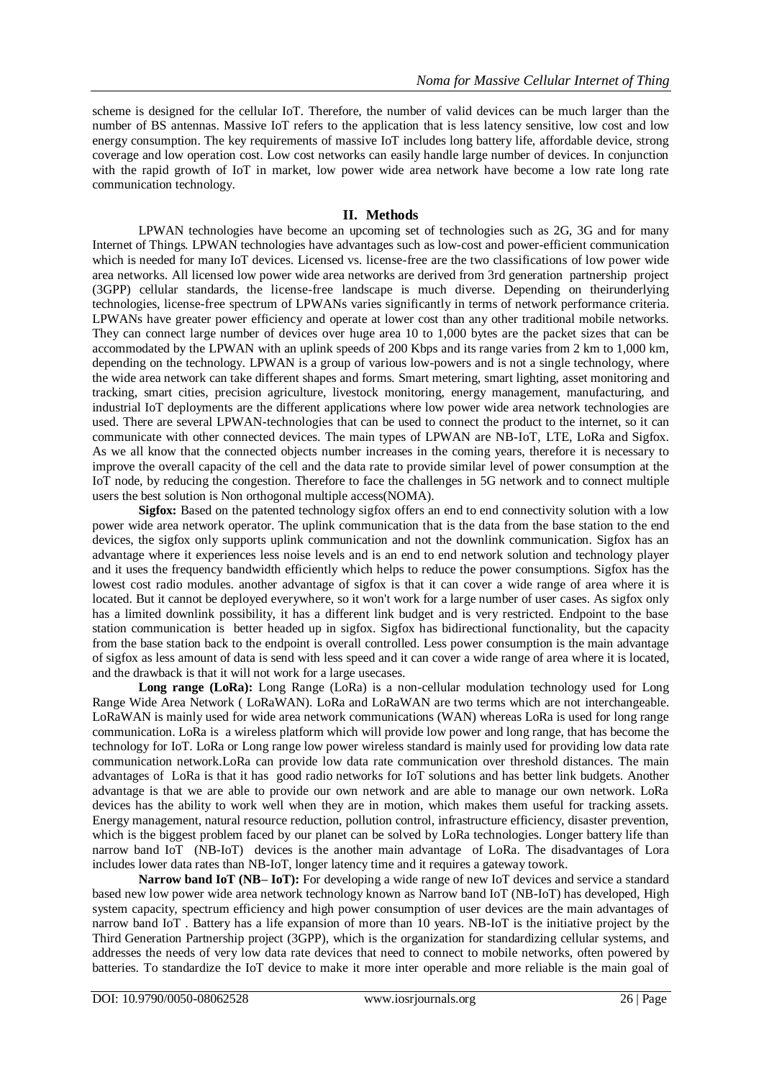scheme is designed for the cellular IoT. Therefore, the number of valid devices can be much larger than the number of BS antennas. Massive IoT refers to the application that is less latency sensitive, low cost and low energy consumption. The key requirements of massive IoT includes long battery life, affordable device, strong coverage and low operation cost. Low cost networks can easily handle large number of devices. In conjunction with the rapid growth of IoT in market, low power wide area network have become a low rate long rate communication technology.

## **II. Methods**

LPWAN technologies have become an upcoming set of technologies such as 2G, 3G and for many Internet of Things*.* LPWAN technologies have advantages such as low-cost and power-efficient communication which is needed for many IoT devices. Licensed vs. license-free are the two classifications of low power wide area networks. All licensed low power wide area networks are derived from 3rd generation partnership project (3GPP) cellular standards, the license-free landscape is much diverse. Depending on theirunderlying technologies, license-free spectrum of LPWANs varies significantly in terms of network performance criteria. LPWANs have greater power efficiency and operate at lower cost than any other traditional mobile networks. They can connect large number of devices over huge area 10 to 1,000 bytes are the packet sizes that can be accommodated by the LPWAN with an uplink speeds of 200 Kbps and its range varies from 2 km to 1,000 km, depending on the technology. LPWAN is a group of various low-powers and is not a single technology, where the wide area network can take different shapes and forms. [Smart metering,](https://internetofthingsagenda.techtarget.com/definition/smart-meter) smart lighting, asset monitoring and tracking, [smart cities,](https://internetofthingsagenda.techtarget.com/definition/smart-city) precision agriculture, livestock monitoring, energy management, manufacturing, and [industrial IoT d](https://internetofthingsagenda.techtarget.com/definition/Industrial-Internet-of-Things-IIoT)eployments are the different applications where low power wide area network technologies are used. There are several LPWAN-technologies that can be used to connect the product to the internet, so it can communicate with other connected devices. The main types of LPWAN are NB-IoT, LTE, LoRa and Sigfox. As we all know that the connected objects number increases in the coming years, therefore it is necessary to improve the overall capacity of the cell and the data rate to provide similar level of power consumption at the IoT node, by reducing the congestion. Therefore to face the challenges in 5G network and to connect multiple users the best solution is Non orthogonal multiple access(NOMA).

Sigfox: Based on the patented technology sigfox offers an end to end connectivity solution with a low power wide area network operator. The uplink communication that is the data from the base station to the end devices, the sigfox only supports uplink communication and not the downlink communication. Sigfox has an advantage where it experiences less noise levels and is an end to end network solution and technology player and it uses the frequency bandwidth efficiently which helps to reduce the power consumptions. Sigfox has the lowest cost radio modules. another advantage of sigfox is that it can cover a wide range of area where it is located. But it cannot be deployed everywhere, so it won't work for a large number of user cases. As sigfox only has a limited downlink possibility, it has a different link budget and is very restricted. Endpoint to the base station communication is better headed up in sigfox. Sigfox has bidirectional functionality, but the capacity from the base station back to the endpoint is overall controlled. Less power consumption is the main advantage of sigfox as less amount of data is send with less speed and it can cover a wide range of area where it is located, and the drawback is that it will not work for a large usecases.

Long range (LoRa): Long Range (LoRa) is a non-cellular modulation technology used for Long Range Wide Area Network ( LoRaWAN). LoRa and LoRaWAN are two terms which are not interchangeable. LoRaWAN is mainly used for wide area network communications (WAN) whereas LoRa is used for long range communication. LoRa is a wireless platform which will provide low power and long range, that has become the technology for IoT. LoRa or Long range low power wireless standard is mainly used for providing low data rate communication network.LoRa can provide low data rate communication over threshold distances. The main advantages of LoRa is that it has good radio networks for IoT solutions and has better link budgets. Another advantage is that we are able to provide our own network and are able to manage our own network. LoRa devices has the ability to work well when they are in motion, which makes them useful for tracking assets. Energy management, natural resource reduction, pollution control, infrastructure efficiency, disaster prevention, which is the biggest problem faced by our planet can be solved by LoRa technologies. Longer battery life than narrow band IoT (NB-IoT) devices is the another main advantage of LoRa. The disadvantages of Lora includes lower data rates than NB-IoT, longer latency time and it requires a gateway towork.

**Narrow band IoT (NB– IoT):** For developing a wide range of new IoT devices and service a standard based new low power wide area network technology known as Narrow band IoT (NB-IoT) has developed, High system capacity, spectrum efficiency and high power consumption of user devices are the main advantages of narrow band IoT . Battery has a life expansion of more than 10 years. NB-IoT is the initiative project by the Third Generation Partnership project (3GPP), which is the organization for standardizing cellular systems, and addresses the needs of very low data rate devices that need to connect to mobile networks, often powered by batteries. To standardize the IoT device to make it more inter operable and more reliable is the main goal of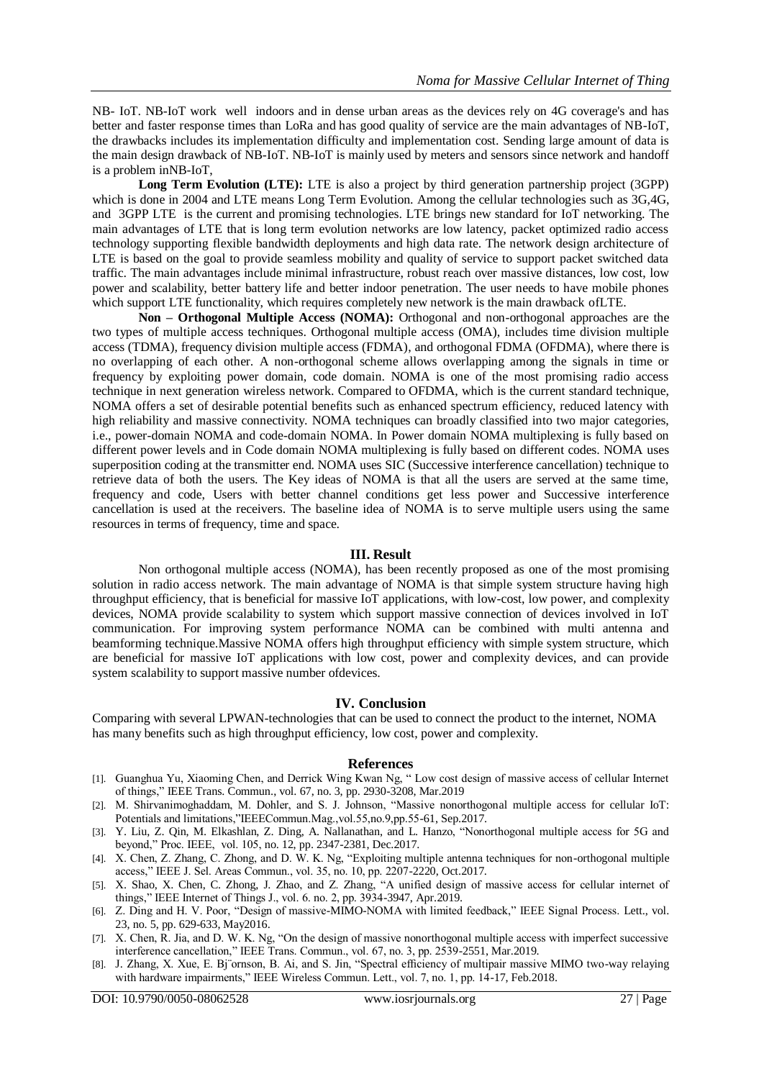NB- IoT. NB-IoT work well indoors and in dense urban areas as the devices rely on 4G coverage's and has better and faster response times than LoRa and has good quality of service are the main advantages of NB-IoT, the drawbacks includes its implementation difficulty and implementation cost. Sending large amount of data is the main design drawback of NB-IoT. NB-IoT is mainly used by meters and sensors since network and handoff is a problem inNB-IoT,

**Long Term Evolution (LTE):** LTE is also a project by third generation partnership project (3GPP) which is done in 2004 and LTE means Long Term Evolution. Among the cellular technologies such as 3G,4G, and 3GPP LTE is the current and promising technologies. LTE brings new standard for IoT networking. The main advantages of LTE that is long term evolution networks are low latency, packet optimized radio access technology supporting flexible bandwidth deployments and high data rate. The network design architecture of LTE is based on the goal to provide seamless mobility and quality of service to support packet switched data traffic. The main advantages include minimal infrastructure, robust reach over massive distances, low cost, low power and scalability, better battery life and better indoor penetration. The user needs to have mobile phones which support LTE functionality, which requires completely new network is the main drawback of LTE.

**Non – Orthogonal Multiple Access (NOMA):** Orthogonal and non-orthogonal approaches are the two types of multiple access techniques. Orthogonal multiple access (OMA), includes time division multiple access (TDMA), frequency division multiple access (FDMA), and orthogonal FDMA (OFDMA), where there is no overlapping of each other. A non-orthogonal scheme allows overlapping among the signals in time or frequency by exploiting power domain, code domain. NOMA is one of the most promising radio access technique in next generation wireless network. Compared to OFDMA, which is the current standard technique, NOMA offers a set of desirable potential benefits such as enhanced spectrum efficiency, reduced latency with high reliability and massive connectivity. NOMA techniques can broadly classified into two major categories, i.e., power-domain NOMA and code-domain NOMA. In Power domain NOMA multiplexing is fully based on different power levels and in Code domain NOMA multiplexing is fully based on different codes. NOMA uses superposition coding at the transmitter end. NOMA uses SIC (Successive interference cancellation) technique to retrieve data of both the users. The Key ideas of NOMA is that all the users are served at the same time, frequency and code, Users with better channel conditions get less power and Successive interference cancellation is used at the receivers. The baseline idea of NOMA is to serve multiple users using the same resources in terms of frequency, time and space.

### **III. Result**

Non orthogonal multiple access (NOMA), has been recently proposed as one of the most promising solution in radio access network. The main advantage of NOMA is that simple system structure having high throughput efficiency, that is beneficial for massive IoT applications, with low-cost, low power, and complexity devices, NOMA provide scalability to system which support massive connection of devices involved in IoT communication. For improving system performance NOMA can be combined with multi antenna and beamforming technique.Massive NOMA offers high throughput efficiency with simple system structure, which are beneficial for massive IoT applications with low cost, power and complexity devices, and can provide system scalability to support massive number ofdevices.

#### **IV. Conclusion**

Comparing with several LPWAN-technologies that can be used to connect the product to the internet, NOMA has many benefits such as high throughput efficiency, low cost, power and complexity.

#### **References**

- [1]. Guanghua Yu, Xiaoming Chen, and Derrick Wing Kwan Ng, " Low cost design of massive access of cellular Internet of things," IEEE Trans. Commun., vol. 67, no. 3, pp. 2930-3208, Mar.2019
- [2]. M. Shirvanimoghaddam, M. Dohler, and S. J. Johnson, "Massive nonorthogonal multiple access for cellular IoT: Potentials and limitations,"IEEECommun.Mag.,vol.55,no.9,pp.55-61, Sep.2017.
- [3]. Y. Liu, Z. Qin, M. Elkashlan, Z. Ding, A. Nallanathan, and L. Hanzo, "Nonorthogonal multiple access for 5G and beyond," Proc. IEEE, vol. 105, no. 12, pp. 2347-2381, Dec.2017.
- [4]. X. Chen, Z. Zhang, C. Zhong, and D. W. K. Ng, "Exploiting multiple antenna techniques for non-orthogonal multiple access," IEEE J. Sel. Areas Commun., vol. 35, no. 10, pp. 2207-2220, Oct.2017.
- [5]. X. Shao, X. Chen, C. Zhong, J. Zhao, and Z. Zhang, "A unified design of massive access for cellular internet of things," IEEE Internet of Things J., vol. 6. no. 2, pp. 3934-3947, Apr.2019.
- [6]. Z. Ding and H. V. Poor, "Design of massive-MIMO-NOMA with limited feedback," IEEE Signal Process. Lett., vol. 23, no. 5, pp. 629-633, May2016.
- [7]. X. Chen, R. Jia, and D. W. K. Ng, "On the design of massive nonorthogonal multiple access with imperfect successive interference cancellation," IEEE Trans. Commun., vol. 67, no. 3, pp. 2539-2551, Mar.2019.
- [8]. J. Zhang, X. Xue, E. Bj¨ornson, B. Ai, and S. Jin, "Spectral efficiency of multipair massive MIMO two-way relaying with hardware impairments," IEEE Wireless Commun. Lett., vol. 7, no. 1, pp. 14-17, Feb.2018.